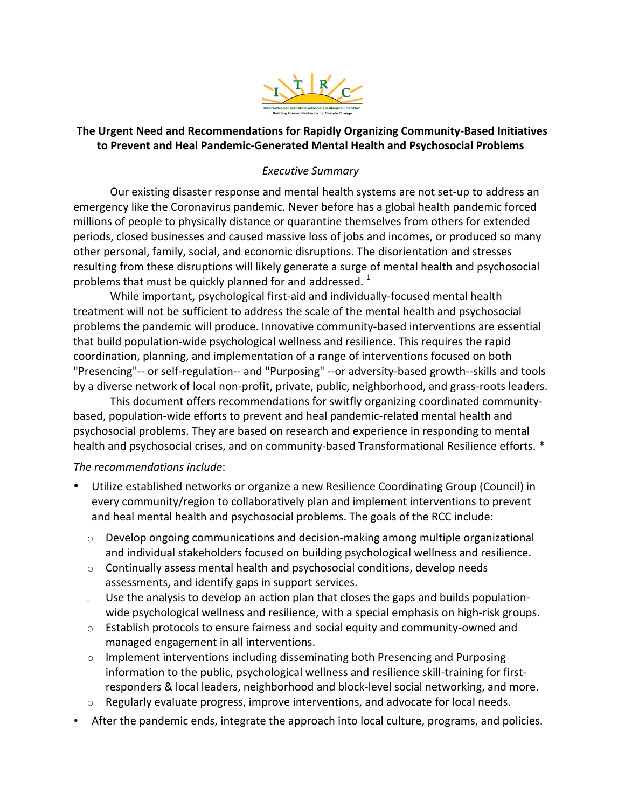

# **The Urgent Need and Recommendations for Rapidly Organizing Community-Based Initiatives** to Prevent and Heal Pandemic-Generated Mental Health and Psychosocial Problems

## *Executive Summary*

periods, closed businesses and caused massive loss of jobs and incomes, or produced so many problems that must be quickly planned for and addressed.  $^1$ Our existing disaster response and mental health systems are not set-up to address an emergency like the Coronavirus pandemic. Never before has a global health pandemic forced millions of people to physically distance or quarantine themselves from others for extended other personal, family, social, and economic disruptions. The disorientation and stresses resulting from these disruptions will likely generate a surge of mental health and psychosocial

While important, psychological first-aid and individually-focused mental health treatment will not be sufficient to address the scale of the mental health and psychosocial problems the pandemic will produce. Innovative community-based interventions are essential that build population-wide psychological wellness and resilience. This requires the rapid coordination, planning, and implementation of a range of interventions focused on both "Presencing"-- or self-regulation-- and "Purposing" --or adversity-based growth--skills and tools by a diverse network of local non-profit, private, public, neighborhood, and grass-roots leaders.

This document offers recommendations for switfly organizing coordinated communitybased, population-wide efforts to prevent and heal pandemic-related mental health and psychosocial problems. They are based on research and experience in responding to mental health and psychosocial crises, and on community-based Transformational Resilience efforts. \*

#### *The recommendations include*:

- Utilize established networks or organize a new Resilience Coordinating Group (Council) in every community/region to collaboratively plan and implement interventions to prevent and heal mental health and psychosocial problems. The goals of the RCC include:
	- $\circ$  Develop ongoing communications and decision-making among multiple organizational and individual stakeholders focused on building psychological wellness and resilience.
	- $\circ$  Continually assess mental health and psychosocial conditions, develop needs assessments, and identify gaps in support services.
	- Use the analysis to develop an action plan that closes the gaps and builds populationwide psychological wellness and resilience, with a special emphasis on high-risk groups.
	- $\circ$  Establish protocols to ensure fairness and social equity and community-owned and managed engagement in all interventions.
	- responders & local leaders, neighborhood and block-level social networking, and more.  $\circ$  Implement interventions including disseminating both Presencing and Purposing information to the public, psychological wellness and resilience skill-training for first-
	- $\circ$  Regularly evaluate progress, improve interventions, and advocate for local needs.
- After the pandemic ends, integrate the approach into local culture, programs, and policies.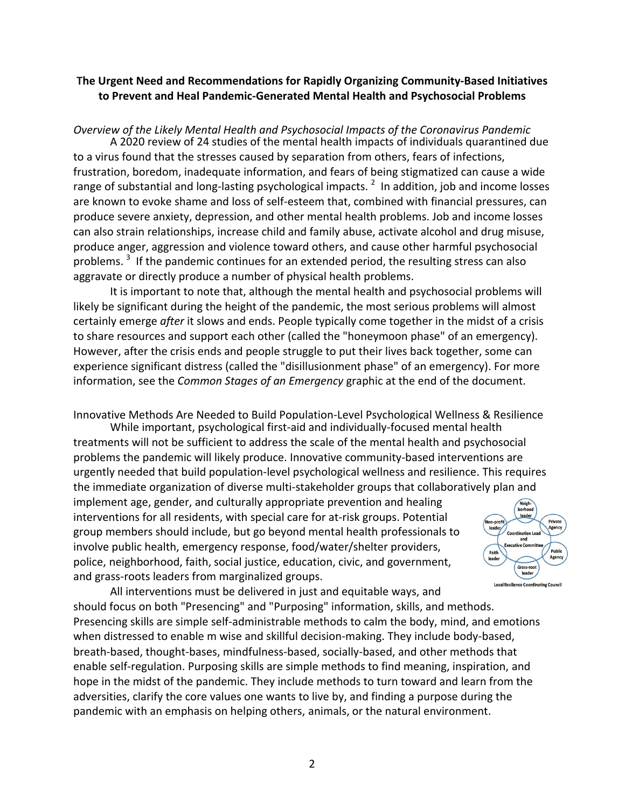## **The Urgent Need and Recommendations for Rapidly Organizing Community-Based Initiatives** to Prevent and Heal Pandemic-Generated Mental Health and Psychosocial Problems

## *Overview of the Likely Mental Health and Psychosocial Impacts of the Coronavirus Pandemic*

range of substantial and long-lasting psychological impacts.  $^2$  In addition, job and income losses produce severe anxiety, depression, and other mental health problems. Job and income losses A 2020 review of 24 studies of the mental health impacts of individuals quarantined due to a virus found that the stresses caused by separation from others, fears of infections, frustration, boredom, inadequate information, and fears of being stigmatized can cause a wide are known to evoke shame and loss of self-esteem that, combined with financial pressures, can can also strain relationships, increase child and family abuse, activate alcohol and drug misuse, produce anger, aggression and violence toward others, and cause other harmful psychosocial problems.  $3$  If the pandemic continues for an extended period, the resulting stress can also aggravate or directly produce a number of physical health problems.

experience significant distress (called the "disillusionment phase" of an emergency). For more It is important to note that, although the mental health and psychosocial problems will likely be significant during the height of the pandemic, the most serious problems will almost certainly emerge *after* it slows and ends. People typically come together in the midst of a crisis to share resources and support each other (called the "honeymoon phase" of an emergency). However, after the crisis ends and people struggle to put their lives back together, some can information, see the *Common Stages of an Emergency* graphic at the end of the document.

Innovative Methods Are Needed to Build Population-Level Psychological Wellness & Resilience

the immediate organization of diverse multi-stakeholder groups that collaboratively plan and While important, psychological first-aid and individually-focused mental health treatments will not be sufficient to address the scale of the mental health and psychosocial problems the pandemic will likely produce. Innovative community-based interventions are urgently needed that build population-level psychological wellness and resilience. This requires

implement age, gender, and culturally appropriate prevention and healing police, neighborhood, faith, social justice, education, civic, and government, interventions for all residents, with special care for at-risk groups. Potential group members should include, but go beyond mental health professionals to involve public health, emergency response, food/water/shelter providers, and grass-roots leaders from marginalized groups.



adversities, clarify the core values one wants to live by, and finding a purpose during the All interventions must be delivered in just and equitable ways, and should focus on both "Presencing" and "Purposing" information, skills, and methods. Presencing skills are simple self-administrable methods to calm the body, mind, and emotions when distressed to enable m wise and skillful decision-making. They include body-based, breath-based, thought-bases, mindfulness-based, socially-based, and other methods that enable self-regulation. Purposing skills are simple methods to find meaning, inspiration, and hope in the midst of the pandemic. They include methods to turn toward and learn from the pandemic with an emphasis on helping others, animals, or the natural environment.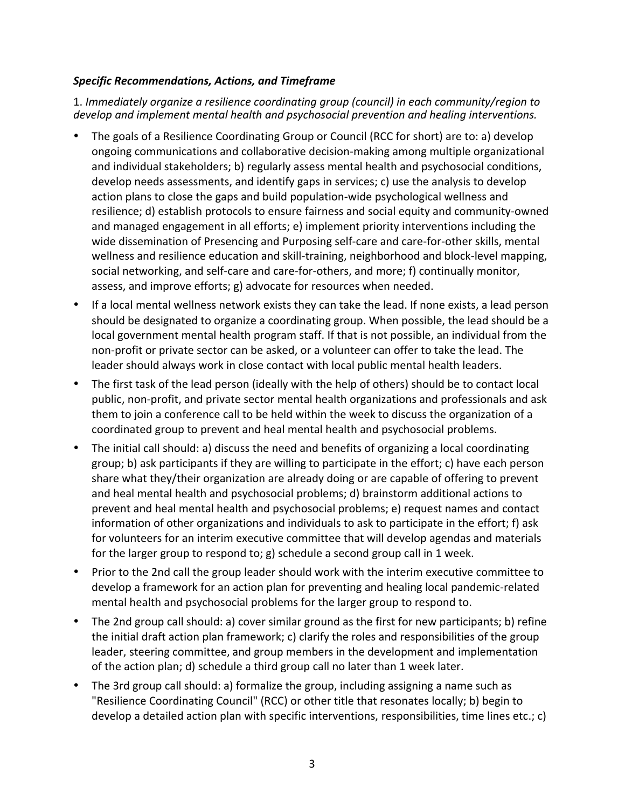## *Specific Recommendations, Actions, and Timeframe*

 1. *Immediately organize a resilience coordinating group (council) in each community/region to develop and implement mental health and psychosocial prevention and healing interventions.*

- The goals of a Resilience Coordinating Group or Council (RCC for short) are to: a) develop action plans to close the gaps and build population-wide psychological wellness and resilience; d) establish protocols to ensure fairness and social equity and community-owned ongoing communications and collaborative decision-making among multiple organizational and individual stakeholders; b) regularly assess mental health and psychosocial conditions, develop needs assessments, and identify gaps in services; c) use the analysis to develop and managed engagement in all efforts; e) implement priority interventions including the wide dissemination of Presencing and Purposing self-care and care-for-other skills, mental wellness and resilience education and skill-training, neighborhood and block-level mapping, social networking, and self-care and care-for-others, and more; f) continually monitor, assess, and improve efforts; g) advocate for resources when needed.
- local government mental health program staff. If that is not possible, an individual from the non-profit or private sector can be asked, or a volunteer can offer to take the lead. The • If a local mental wellness network exists they can take the lead. If none exists, a lead person should be designated to organize a coordinating group. When possible, the lead should be a leader should always work in close contact with local public mental health leaders.
- them to join a conference call to be held within the week to discuss the organization of a The first task of the lead person (ideally with the help of others) should be to contact local public, non-profit, and private sector mental health organizations and professionals and ask coordinated group to prevent and heal mental health and psychosocial problems.
- group; b) ask participants if they are willing to participate in the effort; c) have each person The initial call should: a) discuss the need and benefits of organizing a local coordinating share what they/their organization are already doing or are capable of offering to prevent and heal mental health and psychosocial problems; d) brainstorm additional actions to prevent and heal mental health and psychosocial problems; e) request names and contact information of other organizations and individuals to ask to participate in the effort; f) ask for volunteers for an interim executive committee that will develop agendas and materials for the larger group to respond to; g) schedule a second group call in 1 week.
- Prior to the 2nd call the group leader should work with the interim executive committee to develop a framework for an action plan for preventing and healing local pandemic-related mental health and psychosocial problems for the larger group to respond to.
- The 2nd group call should: a) cover similar ground as the first for new participants; b) refine the initial draft action plan framework; c) clarify the roles and responsibilities of the group leader, steering committee, and group members in the development and implementation of the action plan; d) schedule a third group call no later than 1 week later.
- The 3rd group call should: a) formalize the group, including assigning a name such as "Resilience Coordinating Council" (RCC) or other title that resonates locally; b) begin to develop a detailed action plan with specific interventions, responsibilities, time lines etc.;  $c$ )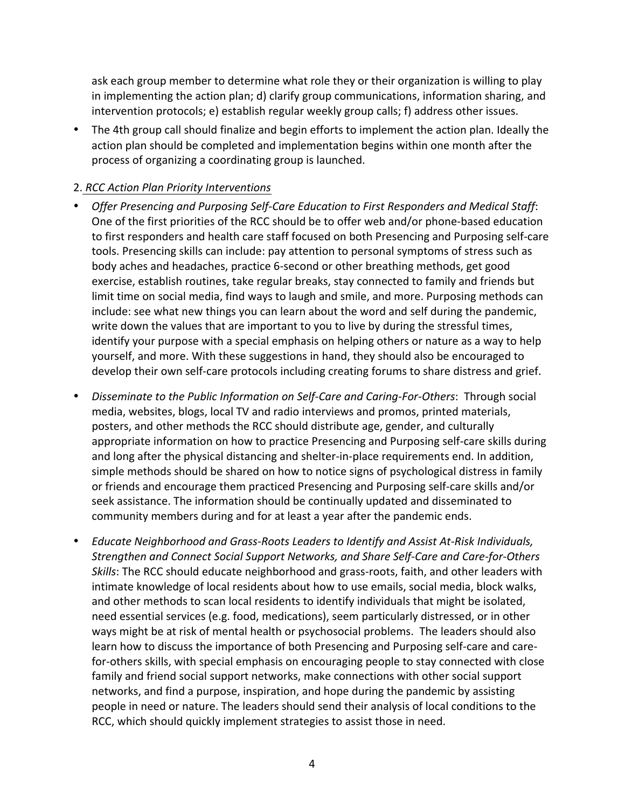ask each group member to determine what role they or their organization is willing to play in implementing the action plan; d) clarify group communications, information sharing, and intervention protocols;  $e$ ) establish regular weekly group calls; f) address other issues.

• The 4th group call should finalize and begin efforts to implement the action plan. Ideally the action plan should be completed and implementation begins within one month after the process of organizing a coordinating group is launched.

# 2. *RCC Action Plan Priority Interventions*

- Offer Presencing and Purposing Self-Care Education to First Responders and Medical Staff: One of the first priorities of the RCC should be to offer web and/or phone-based education to first responders and health care staff focused on both Presencing and Purposing self-care tools. Presencing skills can include: pay attention to personal symptoms of stress such as body aches and headaches, practice 6-second or other breathing methods, get good exercise, establish routines, take regular breaks, stay connected to family and friends but limit time on social media, find ways to laugh and smile, and more. Purposing methods can include: see what new things you can learn about the word and self during the pandemic, write down the values that are important to you to live by during the stressful times, identify your purpose with a special emphasis on helping others or nature as a way to help yourself, and more. With these suggestions in hand, they should also be encouraged to develop their own self-care protocols including creating forums to share distress and grief.
- *Disseminate to the Public Information on Self-Care and Caring-For-Others*: Through social media, websites, blogs, local TV and radio interviews and promos, printed materials, posters, and other methods the RCC should distribute age, gender, and culturally appropriate information on how to practice Presencing and Purposing self-care skills during and long after the physical distancing and shelter-in-place requirements end. In addition, simple methods should be shared on how to notice signs of psychological distress in family or friends and encourage them practiced Presencing and Purposing self-care skills and/or seek assistance. The information should be continually updated and disseminated to community members during and for at least a year after the pandemic ends.
- *Educate Neighborhood and Grass-Roots Leaders to Identify and Assist At-Risk Individuals, Strengthen and Connect Social Support Networks, and Share Self-Care and Care-for-Others* ways might be at risk of mental health or psychosocial problems. The leaders should also RCC, which should quickly implement strategies to assist those in need. Skills: The RCC should educate neighborhood and grass-roots, faith, and other leaders with intimate knowledge of local residents about how to use emails, social media, block walks, and other methods to scan local residents to identify individuals that might be isolated, need essential services (e.g. food, medications), seem particularly distressed, or in other learn how to discuss the importance of both Presencing and Purposing self-care and carefor-others skills, with special emphasis on encouraging people to stay connected with close family and friend social support networks, make connections with other social support networks, and find a purpose, inspiration, and hope during the pandemic by assisting people in need or nature. The leaders should send their analysis of local conditions to the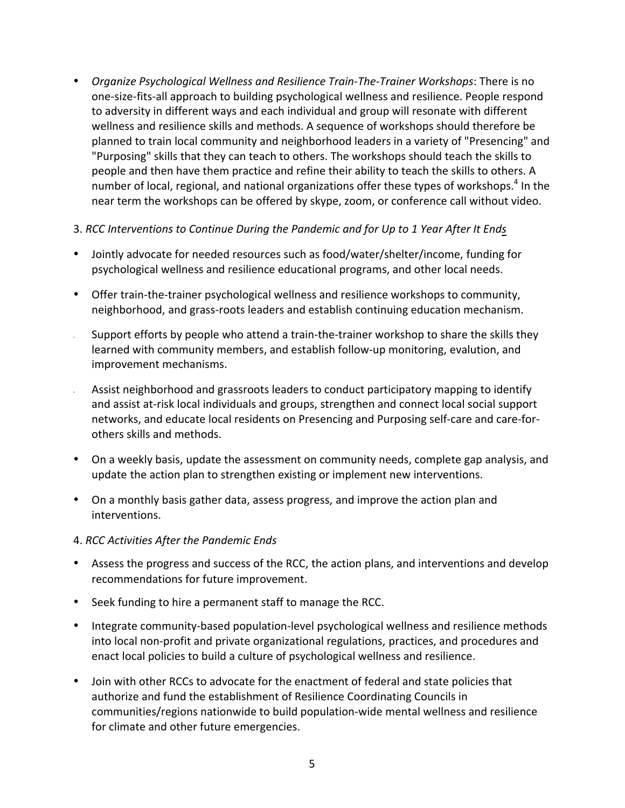- *Organize Psychological Wellness and Resilience Train-The-Trainer Workshops:* There is no one-size-fits-all approach to building psychological wellness and resilience. People respond to adversity in different ways and each individual and group will resonate with different wellness and resilience skills and methods. A sequence of workshops should therefore be planned to train local community and neighborhood leaders in a variety of "Presencing" and "Purposing" skills that they can teach to others. The workshops should teach the skills to people and then have them practice and refine their ability to teach the skills to others. A number of local, regional, and national organizations offer these types of workshops.<sup>4</sup> In the near term the workshops can be offered by skype, zoom, or conference call without video.
- 3. *RCC Interventions to Continue During the Pandemic and for Up to 1 Year After It Ends*
- Jointly advocate for needed resources such as food/water/shelter/income, funding for psychological wellness and resilience educational programs, and other local needs.
- Offer train-the-trainer psychological wellness and resilience workshops to community, neighborhood, and grass-roots leaders and establish continuing education mechanism.
- Support efforts by people who attend a train-the-trainer workshop to share the skills they learned with community members, and establish follow-up monitoring, evalution, and improvement mechanisms.
- Assist neighborhood and grassroots leaders to conduct participatory mapping to identify and assist at-risk local individuals and groups, strengthen and connect local social support networks, and educate local residents on Presencing and Purposing self-care and care-forothers skills and methods.
- On a weekly basis, update the assessment on community needs, complete gap analysis, and update the action plan to strengthen existing or implement new interventions.
- On a monthly basis gather data, assess progress, and improve the action plan and interventions.

#### 4. *RCC Activities After the Pandemic Ends*

- Assess the progress and success of the RCC, the action plans, and interventions and develop recommendations for future improvement.
- Seek funding to hire a permanent staff to manage the RCC.
- Integrate community-based population-level psychological wellness and resilience methods into local non-profit and private organizational regulations, practices, and procedures and enact local policies to build a culture of psychological wellness and resilience.
- Join with other RCCs to advocate for the enactment of federal and state policies that authorize and fund the establishment of Resilience Coordinating Councils in communities/regions nationwide to build population-wide mental wellness and resilience for climate and other future emergencies.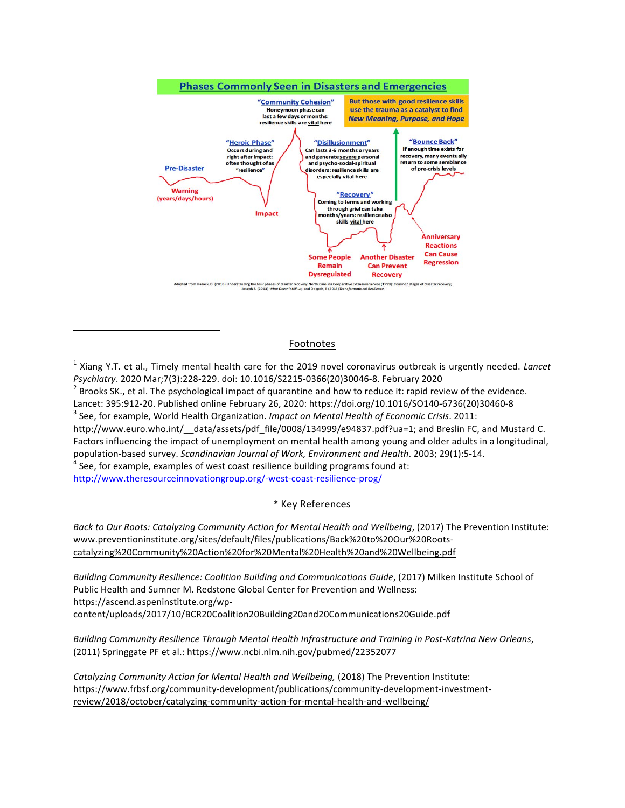

#### Footnotes

<sup>1</sup> Xiang Y.T. et al., Timely mental health care for the 2019 novel coronavirus outbreak is urgently needed. *Lancet* Psychiatry. 2020 Mar;7(3):228-229. doi: 10.1016/S2215-0366(20)30046-8. February 2020

*Psychiatry*. 2020 Mar;7(3):228-229. doi: 10.1016/S2215-0366(20)30046-8. February 2020<br><sup>2</sup> Brooks SK., et al. The psychological impact of quarantine and how to reduce it: rapid review of the evidence.

Lancet: 395:912-20. Published online February 26, 2020: https://doi.org/10.1016/SO140-6736(20)30460-8 Lancet: 395:912-20. Published online February 26, 2020: https://doi.org/10.1016/SO140-6736(20)30460-8<br><sup>3</sup> See, for example, World Health Organization. *Impact on Mental Health of Economic Crisis*. 2011:

Factors influencing the impact of unemployment on mental health among young and older adults in a longitudinal, population-based survey. Scandinavian Journal of Work, Environment and Health. 2003; 29(1):5-14. population-based survey. *Scandinavian Journal of Work, Environment and Health.* 2003; 29(1):5-14.<br><sup>4</sup> See, for example, examples of west coast resilience building programs found at: http://www.euro.who.int/ data/assets/pdf file/0008/134999/e94837.pdf?ua=1; and Breslin FC, and Mustard C.

http://www.theresourceinnovationgroup.org/-west-coast-resilience-prog/

#### \* Key References

 *Back to Our Roots: Catalyzing Community Action for Mental Health and Wellbeing*, (2017) The Prevention Institute: www.preventioninstitute.org/sites/default/files/publications/Back%20to%20Our%20Rootscatalyzing%20Community%20Action%20for%20Mental%20Health%20and%20Wellbeing.pdf

 *Building Community Resilience: Coalition Building and Communications Guide*, (2017) Milken Institute School of Public Health and Sumner M. Redstone Global Center for Prevention and Wellness: https://ascend.aspeninstitute.org/wpcontent/uploads/2017/10/BCR20Coalition20Building20and20Communications20Guide.pdf

 *Building Community Resilience Through Mental Health Infrastructure and Training in Post-Katrina New Orleans*, (2011) Springgate PF et al.: https://www.ncbi.nlm.nih.gov/pubmed/22352077

 *Catalyzing Community Action for Mental Health and Wellbeing,* (2018) The Prevention Institute: https://www.frbsf.org/community-development/publications/community-development-investmentreview/2018/october/catalyzing-community-action-for-mental-health-and-wellbeing/